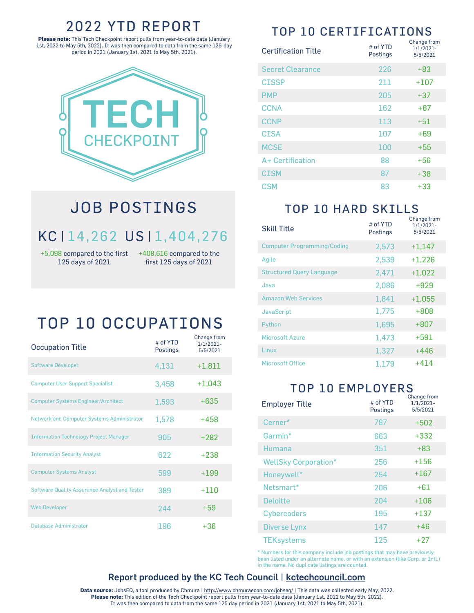#### 2022 YTD REPORT

**Please note:** This Tech Checkpoint report pulls from year-to-date data (January 1st, 2022 to May 5th, 2022). It was then compared to data from the same 125-day period in 2021 (January 1st, 2021 to May 5th, 2021).



## JOB POSTINGS

### KC **<sup>|</sup>** 14,262 US **<sup>|</sup>** 1,404,276

125 days of 2021

+5,098 compared to the first +408,616 compared to the first 125 days of 2021

## TOP 10 OCCUPATIONS

| <b>Occupation Title</b>                              | # of YTD<br>Postings | Change from<br>1/1/2021-<br>5/5/2021 |
|------------------------------------------------------|----------------------|--------------------------------------|
| <b>Software Developer</b>                            | 4,131                | $+1,811$                             |
| <b>Computer User Support Specialist</b>              | 3,458                | $+1,043$                             |
| <b>Computer Systems Engineer/Architect</b>           | 1,593                | $+635$                               |
| <b>Network and Computer Systems Administrator</b>    | 1,578                | $+458$                               |
| <b>Information Technology Project Manager</b>        | 905                  | $+282$                               |
| <b>Information Security Analyst</b>                  | 622                  | $+238$                               |
| <b>Computer Systems Analyst</b>                      | 599                  | $+199$                               |
| <b>Software Quality Assurance Analyst and Tester</b> | 389                  | +110                                 |
| <b>Web Developer</b>                                 | 244                  | $+59$                                |
| Database Administrator                               | 196                  | $+36$                                |

### TOP 10 CERTIFICATIONS

| <b>Certification Title</b> | # of YTD<br>Postings | Change from<br>1/1/2021-<br>5/5/2021 |
|----------------------------|----------------------|--------------------------------------|
| <b>Secret Clearance</b>    | 226                  | $+83$                                |
| <b>CISSP</b>               | 211                  | $+107$                               |
| <b>PMP</b>                 | 205                  | $+37$                                |
| <b>CCNA</b>                | 162                  | $+67$                                |
| <b>CCNP</b>                | 113                  | $+51$                                |
| <b>CISA</b>                | 107                  | $+69$                                |
| <b>MCSE</b>                | 100                  | $+55$                                |
| A+ Certification           | 88                   | $+56$                                |
| <b>CISM</b>                | 87                   | $+38$                                |
| CSM                        | 83                   | $+33$                                |

#### TOP 10 HARD SKILLS

| <b>Skill Title</b>                 | # of YTD<br><b>Postings</b> | Change from<br>1/1/2021-<br>5/5/2021 |
|------------------------------------|-----------------------------|--------------------------------------|
| <b>Computer Programming/Coding</b> | 2,573                       | $+1,147$                             |
| Agile                              | 2,539                       | $+1,226$                             |
| <b>Structured Query Language</b>   | 2,471                       | $+1,022$                             |
| Java                               | 2,086                       | $+929$                               |
| <b>Amazon Web Services</b>         | 1,841                       | $+1,055$                             |
| <b>JavaScript</b>                  | 1.775                       | $+808$                               |
| Python                             | 1,695                       | $+807$                               |
| <b>Microsoft Azure</b>             | 1,473                       | $+591$                               |
| Linux                              | 1,327                       | +446                                 |
| <b>Microsoft Office</b>            | 1.179                       | +414                                 |

#### TOP 10 EMPLOYERS

| <b>Employer Title</b>       | # of YTD<br><b>Postings</b> | Change from<br>1/1/2021-<br>5/5/2021 |
|-----------------------------|-----------------------------|--------------------------------------|
| Cerner*                     | 787                         | $+502$                               |
| Garmin*                     | 663                         | $+332$                               |
| Humana                      | 351                         | $+83$                                |
| <b>WellSky Corporation*</b> | 256                         | $+156$                               |
| Honeywell*                  | 254                         | $+167$                               |
| Netsmart*                   | 206                         | $+61$                                |
| <b>Deloitte</b>             | 204                         | $+106$                               |
| <b>Cybercoders</b>          | 195                         | $+137$                               |
| <b>Diverse Lynx</b>         | 147                         | +46                                  |
| <b>TEKsystems</b>           | 125                         | +27                                  |

\* Numbers for this company include job postings that may have previously been listed under an alternate name, or with an extension (like Corp. or Intl.) in the name. No duplicate listings are counted.

#### Report produced by the KC Tech Council | kctechcouncil.com

Data source: JobsEQ, a tool produced by Chmura | http://www.chmuraecon.com/jobseq/ | This data was collected early May, 2022. **Please note:** This edition of the Tech Checkpoint report pulls from year-to-date data (January 1st, 2022 to May 5th, 2022). It was then compared to data from the same 125 day period in 2021 (January 1st, 2021 to May 5th, 2021).